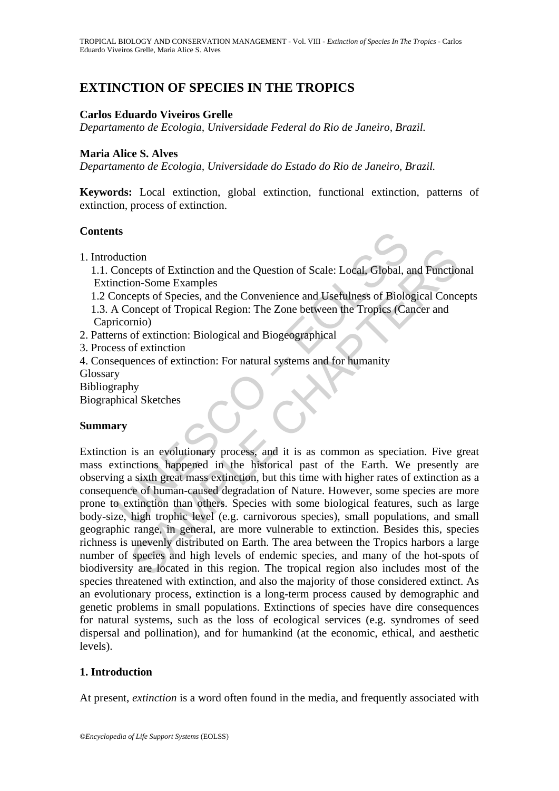# **EXTINCTION OF SPECIES IN THE TROPICS**

#### **Carlos Eduardo Viveiros Grelle**

*Departamento de Ecologia, Universidade Federal do Rio de Janeiro, Brazil.* 

#### **Maria Alice S. Alves**

*Departamento de Ecologia, Universidade do Estado do Rio de Janeiro, Brazil.* 

**Keywords:** Local extinction, global extinction, functional extinction, patterns of extinction, process of extinction.

#### **Contents**

1. Introduction

 1.1. Concepts of Extinction and the Question of Scale: Local, Global, and Functional Extinction-Some Examples

- 1.2 Concepts of Species, and the Convenience and Usefulness of Biological Concepts
- 1.3. A Concept of Tropical Region: The Zone between the Tropics (Cancer and Capricornio)
- 2. Patterns of extinction: Biological and Biogeographical
- 3. Process of extinction

4. Consequences of extinction: For natural systems and for humanity

- **Glossary**
- Bibliography

Biographical Sketches

### **Summary**

**SET ANTIFICATE:**<br>
Set the Concepts of Extinction and the Question of Scale: Local, Global, a<br>
naction-Some Examples<br>
oncepts of Species, and the Convenience and Usefulness of Biolo<br>
icomio)<br>
Concept of Tropical Region: Th tion<br>
comes of Extinction and the Question of Scale: Local, Global, and Functio<br>
on-Some Examples<br>
crepts of Species, and the Convenience and Usefulness of Biological Conce<br>
crepts of Species, and the Convenience and Usefu Extinction is an evolutionary process, and it is as common as speciation. Five great mass extinctions happened in the historical past of the Earth. We presently are observing a sixth great mass extinction, but this time with higher rates of extinction as a consequence of human-caused degradation of Nature. However, some species are more prone to extinction than others. Species with some biological features, such as large body-size, high trophic level (e.g. carnivorous species), small populations, and small geographic range, in general, are more vulnerable to extinction. Besides this, species richness is unevenly distributed on Earth. The area between the Tropics harbors a large number of species and high levels of endemic species, and many of the hot-spots of biodiversity are located in this region. The tropical region also includes most of the species threatened with extinction, and also the majority of those considered extinct. As an evolutionary process, extinction is a long-term process caused by demographic and genetic problems in small populations. Extinctions of species have dire consequences for natural systems, such as the loss of ecological services (e.g. syndromes of seed dispersal and pollination), and for humankind (at the economic, ethical, and aesthetic levels).

### **1. Introduction**

At present, *extinction* is a word often found in the media, and frequently associated with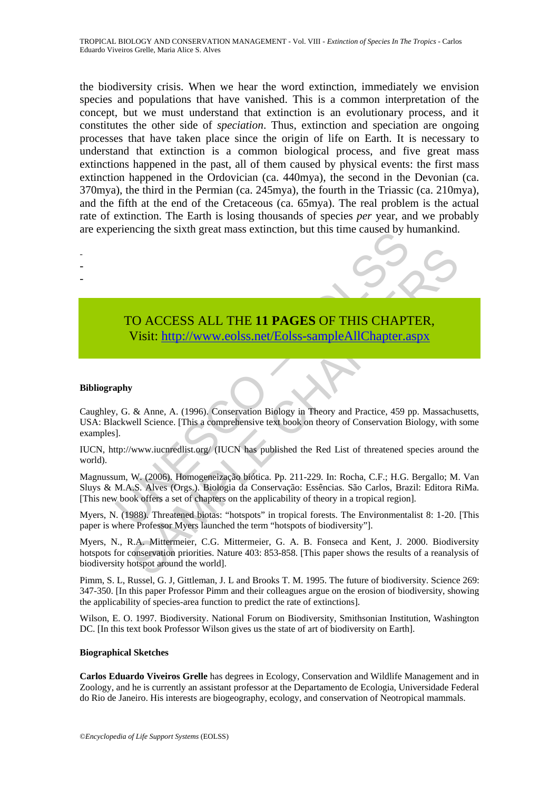the biodiversity crisis. When we hear the word extinction, immediately we envision species and populations that have vanished. This is a common interpretation of the concept, but we must understand that extinction is an evolutionary process, and it constitutes the other side of *speciation*. Thus, extinction and speciation are ongoing processes that have taken place since the origin of life on Earth. It is necessary to understand that extinction is a common biological process, and five great mass extinctions happened in the past, all of them caused by physical events: the first mass extinction happened in the Ordovician (ca. 440mya), the second in the Devonian (ca. 370mya), the third in the Permian (ca. 245mya), the fourth in the Triassic (ca. 210mya), and the fifth at the end of the Cretaceous (ca. 65mya). The real problem is the actual rate of extinction. The Earth is losing thousands of species *per* year, and we probably are experiencing the sixth great mass extinction, but this time caused by humankind.

Frenchig the sixth great mass extinction, out this time caused by in<br>
TO ACCESS ALL THE 11 PAGES OF THIS CHAPT<br>
Visit: http://www.eolss.net/Eolss-sampleAllChapter.a<br>
apply<br>
apply<br>
apply<br>
(G. & Anne, A. (1996). Conservation TO ACCESS ALL THE 11 PAGES OF THIS CH[APTE](https://www.eolss.net/ebooklib/sc_cart.aspx?File=E6-142-TZ-16)R,<br>
Visit: http://www.eolss.net/Eolss-sampleAllChapter.aspx<br>
8. & Anne, A. (1996). Conservation Biology in Theory and Practice, 459 pp. Massachuell Science. [This a comprehensive te - - -

## TO ACCESS ALL THE **11 PAGES** OF THIS CHAPTER, Visit: http://www.eolss.net/Eolss-sampleAllChapter.aspx

#### **Bibliography**

Caughley, G. & Anne, A. (1996). Conservation Biology in Theory and Practice, 459 pp. Massachusetts, USA: Blackwell Science. [This a comprehensive text book on theory of Conservation Biology, with some examples].

IUCN, http://www.iucnredlist.org/ (IUCN has published the Red List of threatened species around the world).

Magnussum, W. (2006). Homogeneização biótica. Pp. 211-229. In: Rocha, C.F.; H.G. Bergallo; M. Van Sluys & M.A.S. Alves (Orgs.). Biologia da Conservação: Essências. São Carlos, Brazil: Editora RiMa. [This new book offers a set of chapters on the applicability of theory in a tropical region].

Myers, N. (1988). Threatened biotas: "hotspots" in tropical forests. The Environmentalist 8: 1-20. [This paper is where Professor Myers launched the term "hotspots of biodiversity"].

Myers, N., R.A. Mittermeier, C.G. Mittermeier, G. A. B. Fonseca and Kent, J. 2000. Biodiversity hotspots for conservation priorities. Nature 403: 853-858. [This paper shows the results of a reanalysis of biodiversity hotspot around the world].

Pimm, S. L, Russel, G. J, Gittleman, J. L and Brooks T. M. 1995. The future of biodiversity. Science 269: 347-350. [In this paper Professor Pimm and their colleagues argue on the erosion of biodiversity, showing the applicability of species-area function to predict the rate of extinctions].

Wilson, E. O. 1997. Biodiversity. National Forum on Biodiversity, Smithsonian Institution, Washington DC. [In this text book Professor Wilson gives us the state of art of biodiversity on Earth].

#### **Biographical Sketches**

**Carlos Eduardo Viveiros Grelle** has degrees in Ecology, Conservation and Wildlife Management and in Zoology, and he is currently an assistant professor at the Departamento de Ecologia, Universidade Federal do Rio de Janeiro. His interests are biogeography, ecology, and conservation of Neotropical mammals.